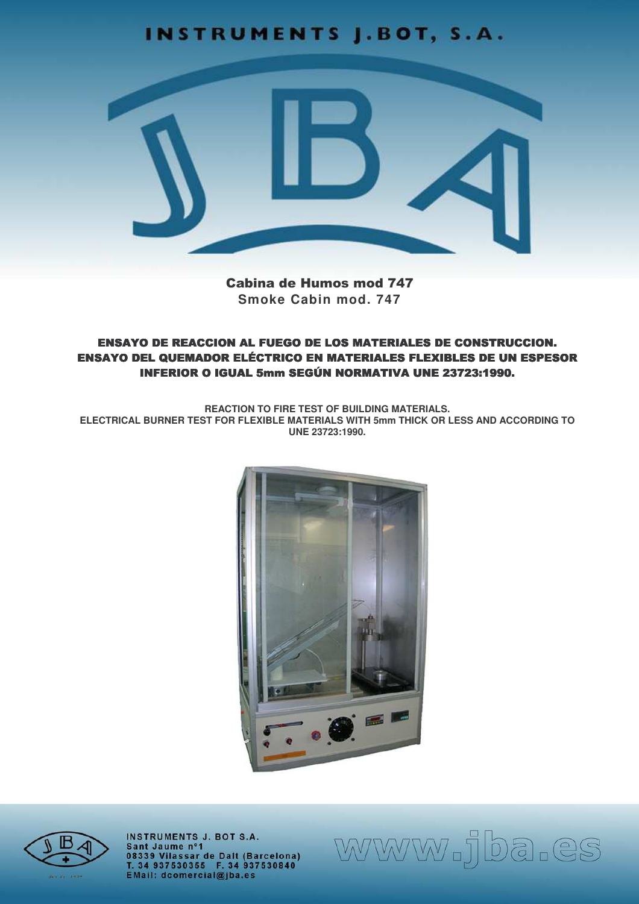# **INSTRUMENTS J.BOT, S.A.**



**Cabina de Humos mod 747** Smoke Cabin mod. 747

**ENSAYO DE REACCION AL FUEGO DE LOS MATERIALES DE CONSTRUCCION. ENSAYO DEL QUEMADOR ELÉCTRICO EN MATERIALES FLEXIBLES DE UN ESPESOR INFERIOR O IGUAL 5mm SEGÚN NORMATIVA UNE 23723:1990.** 

**REACTION TO FIRE TEST OF BUILDING MATERIALS.** ELECTRICAL BURNER TEST FOR FLEXIBLE MATERIALS WITH 5mm THICK OR LESS AND ACCORDING TO UNE 23723:1990.





**INSTRUMENTS J. BOT S.A.** Sant Jaume nº1 Salit Jaume II 1<br>08339 Vilassar de Dalt (Barcelona)<br>T. 34 937530355 F. 34 937530840<br>EMail: dcomercial@jba.es www.jba.es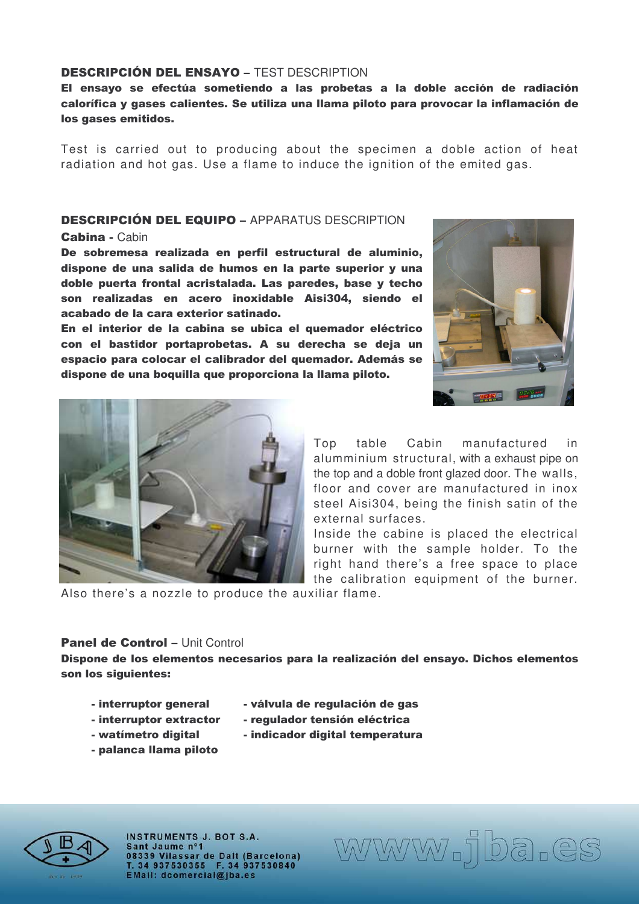## **DESCRIPCIÓN DEL ENSAYO - TEST DESCRIPTION**

## El ensayo se efectúa sometiendo a las probetas a la doble acción de radiación calorífica y gases calientes. Se utiliza una llama piloto para provocar la inflamación de los gases emitidos.

Test is carried out to producing about the specimen a doble action of heat radiation and hot gas. Use a flame to induce the ignition of the emited gas.

## **DESCRIPCIÓN DEL EQUIPO - APPARATUS DESCRIPTION**

Cabina - Cabin

De sobremesa realizada en perfil estructural de aluminio, dispone de una salida de humos en la parte superior y una doble puerta frontal acristalada. Las paredes, base y techo son realizadas en acero inoxidable Aisi304, siendo el acabado de la cara exterior satinado.

En el interior de la cabina se ubica el quemador eléctrico con el bastidor portaprobetas. A su derecha se deja un espacio para colocar el calibrador del quemador. Además se dispone de una boquilla que proporciona la llama piloto.





Top table Cabin manufactured in alumminium structural, with a exhaust pipe on the top and a doble front glazed door. The walls, floor and cover are manufactured in inox steel Aisi304, being the finish satin of the external surfaces.

Inside the cabine is placed the electrical burner with the sample holder. To the right hand there's a free space to place the calibration equipment of the burner.

Also there's a nozzle to produce the auxiliar flame.

#### Panel de Control - Unit Control

Dispone de los elementos necesarios para la realización del ensayo. Dichos elementos son los siguientes:

- interruptor genera
- interruptor extra
- watímetro digita
- palanca llama piloto



www.jba.es

I a - válvula de regulación de gas ctor - regulador tensión eléctrica

- 
- I accentrial indicador digital temperatura



**INSTRUMENTS J. BOT S.A.** Sant Jaume nº1 08339 Vilassar de Dalt (Barcelona) T. 34 937530355 F. 34 937530840<br>EMail: dcomercial@jba.es